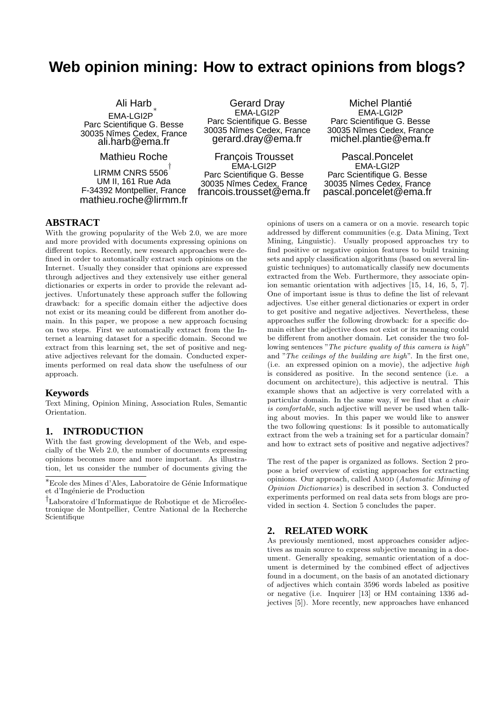# **Web opinion mining: How to extract opinions from blogs?**

Ali Harb ∗ EMA-LGI2P Parc Scientifique G. Besse 30035 Nîmes Cedex, France ali.harb@ema.fr

Mathieu Roche

LIRMM CNRS 5506 $^\dagger$ UM II, 161 Rue Ada F-34392 Montpellier, France mathieu.roche@lirmm.fr

Gerard Dray EMA-LGI2P Parc Scientifique G. Besse 30035 Nîmes Cedex, France gerard.dray@ema.fr

François Trousset EMA-LGI2P Parc Scientifique G. Besse 30035 Nîmes Cedex, France francois.trousset@ema.fr

Michel Plantié EMA-LGI2P Parc Scientifique G. Besse 30035 Nîmes Cedex, France michel.plantie@ema.fr

Pascal.Poncelet EMA-LGI2P Parc Scientifique G. Besse 30035 Nîmes Cedex, France pascal.poncelet@ema.fr

### **ABSTRACT**

With the growing popularity of the Web 2.0, we are more and more provided with documents expressing opinions on different topics. Recently, new research approaches were defined in order to automatically extract such opinions on the Internet. Usually they consider that opinions are expressed through adjectives and they extensively use either general dictionaries or experts in order to provide the relevant adjectives. Unfortunately these approach suffer the following drawback: for a specific domain either the adjective does not exist or its meaning could be different from another domain. In this paper, we propose a new approach focusing on two steps. First we automatically extract from the Internet a learning dataset for a specific domain. Second we extract from this learning set, the set of positive and negative adjectives relevant for the domain. Conducted experiments performed on real data show the usefulness of our approach.

### **Keywords**

Text Mining, Opinion Mining, Association Rules, Semantic Orientation.

#### **1. INTRODUCTION**

With the fast growing development of the Web, and especially of the Web 2.0, the number of documents expressing opinions becomes more and more important. As illustration, let us consider the number of documents giving the

opinions of users on a camera or on a movie. research topic addressed by different communities (e.g. Data Mining, Text Mining, Linguistic). Usually proposed approaches try to find positive or negative opinion features to build training sets and apply classification algorithms (based on several linguistic techniques) to automatically classify new documents extracted from the Web. Furthermore, they associate opinion semantic orientation with adjectives [15, 14, 16, 5, 7]. One of important issue is thus to define the list of relevant adjectives. Use either general dictionaries or expert in order to get positive and negative adjectives. Nevertheless, these approaches suffer the following drowback: for a specific domain either the adjective does not exist or its meaning could be different from another domain. Let consider the two following sentences "The picture quality of this camera is high" and "The ceilings of the building are high". In the first one, (i.e. an expressed opinion on a movie), the adjective high is considered as positive. In the second sentence (i.e. a document on architecture), this adjective is neutral. This example shows that an adjective is very correlated with a particular domain. In the same way, if we find that a chair is comfortable, such adjective will never be used when talking about movies. In this paper we would like to answer the two following questions: Is it possible to automatically extract from the web a training set for a particular domain? and how to extract sets of positive and negative adjectives?

The rest of the paper is organized as follows. Section 2 propose a brief overview of existing approaches for extracting opinions. Our approach, called AMOD (Automatic Mining of Opinion Dictionaries) is described in section 3. Conducted experiments performed on real data sets from blogs are provided in section 4. Section 5 concludes the paper.

## **2. RELATED WORK**

As previously mentioned, most approaches consider adjectives as main source to express subjective meaning in a document. Generally speaking, semantic orientation of a document is determined by the combined effect of adjectives found in a document, on the basis of an anotated dictionary of adjectives which contain 3596 words labeled as positive or negative (i.e. Inquirer [13] or HM containing 1336 adjectives [5]). More recently, new approaches have enhanced

<sup>∗</sup>Ecole des Mines d'Ales, Laboratoire de G´enie Informatique et d'Ingénierie de Production

<sup>&</sup>lt;sup>†</sup>Laboratoire d'Informatique de Robotique et de Microélectronique de Montpellier, Centre National de la Recherche Scientifique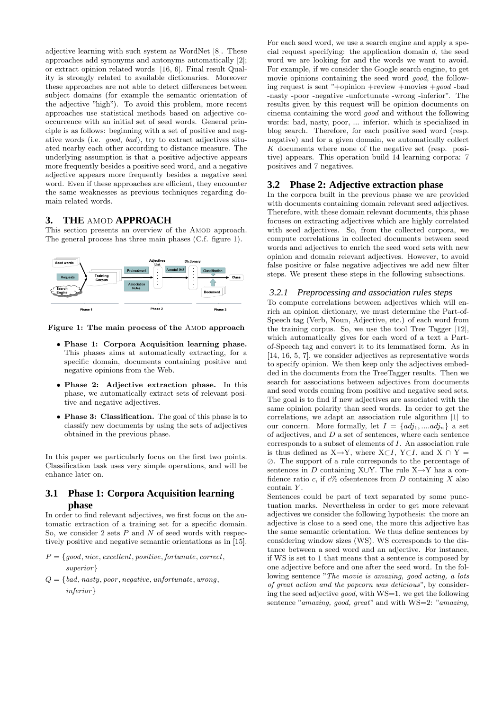adjective learning with such system as WordNet [8]. These approaches add synonyms and antonyms automatically [2]; or extract opinion related words [16, 6]. Final result Quality is strongly related to available dictionaries. Moreover these approaches are not able to detect differences between subject domains (for example the semantic orientation of the adjective "high"). To avoid this problem, more recent approaches use statistical methods based on adjective cooccurrence with an initial set of seed words. General principle is as follows: beginning with a set of positive and negative words (i.e. good, bad), try to extract adjectives situated nearby each other according to distance measure. The underlying assumption is that a positive adjective appears more frequently besides a positive seed word, and a negative adjective appears more frequently besides a negative seed word. Even if these approaches are efficient, they encounter the same weaknesses as previous techniques regarding domain related words.

## **3. THE** AMOD **APPROACH**

This section presents an overview of the AMOD approach. The general process has three main phases (C.f. figure 1).



Figure 1: The main process of the AMOD approach

- Phase 1: Corpora Acquisition learning phase. This phases aims at automatically extracting, for a specific domain, documents containing positive and negative opinions from the Web.
- Phase 2: Adjective extraction phase. In this phase, we automatically extract sets of relevant positive and negative adjectives.
- Phase 3: Classification. The goal of this phase is to classify new documents by using the sets of adjectives obtained in the previous phase.

In this paper we particularly focus on the first two points. Classification task uses very simple operations, and will be enhance later on.

## **3.1 Phase 1: Corpora Acquisition learning phase**

In order to find relevant adjectives, we first focus on the automatic extraction of a training set for a specific domain. So, we consider 2 sets  $P$  and  $N$  of seed words with respectively positive and negative semantic orientations as in [15].

- $P = \{good, nice, excellent, positive, fortunate, correct,$ superior}
- $Q = \{bad, nasty, poor, negative, unfortunate, wrong,$ inferior}

For each seed word, we use a search engine and apply a special request specifying: the application domain  $d$ , the seed word we are looking for and the words we want to avoid. For example, if we consider the Google search engine, to get movie opinions containing the seed word *good*, the following request is sent "+opinion +review +movies +good -bad -nasty -poor -negative -unfortunate -wrong -inferior". The results given by this request will be opinion documents on cinema containing the word good and without the following words: bad, nasty, poor, ... inferior. which is specialized in blog search. Therefore, for each positive seed word (resp. negative) and for a given domain, we automatically collect  $K$  documents where none of the negative set (resp. positive) appears. This operation build 14 learning corpora: 7 positives and 7 negatives.

## **3.2 Phase 2: Adjective extraction phase**

In the corpora built in the previous phase we are provided with documents containing domain relevant seed adjectives. Therefore, with these domain relevant documents, this phase focuses on extracting adjectives which are highly correlated with seed adjectives. So, from the collected corpora, we compute correlations in collected documents between seed words and adjectives to enrich the seed word sets with new opinion and domain relevant adjectives. However, to avoid false positive or false negative adjectives we add new filter steps. We present these steps in the following subsections.

#### *3.2.1 Preprocessing and association rules steps*

To compute correlations between adjectives which will enrich an opinion dictionary, we must determine the Part-of-Speech tag (Verb, Noun, Adjective, etc.) of each word from the training corpus. So, we use the tool Tree Tagger [12], which automatically gives for each word of a text a Partof-Speech tag and convert it to its lemmatised form. As in [14, 16, 5, 7], we consider adjectives as representative words to specify opinion. We then keep only the adjectives embedded in the documents from the TreeTagger results. Then we search for associations between adjectives from documents and seed words coming from positive and negative seed sets. The goal is to find if new adjectives are associated with the same opinion polarity than seed words. In order to get the correlations, we adapt an association rule algorithm [1] to our concern. More formally, let  $I = \{adj_1, \dots, adj_n\}$  a set of adjectives, and  $D$  a set of sentences, where each sentence corresponds to a subset of elements of I. An association rule is thus defined as X→Y, where X⊂I, Y⊂I, and X  $\cap$  Y = ⊘. The support of a rule corresponds to the percentage of sentences in D containing X∪Y. The rule  $X \rightarrow Y$  has a confidence ratio c, if  $c\%$  ofsentences from D containing X also contain Y.

Sentences could be part of text separated by some punctuation marks. Nevertheless in order to get more relevant adjectives we consider the following hypothesis: the more an adjective is close to a seed one, the more this adjective has the same semantic orientation. We thus define sentences by considering window sizes (WS). WS corresponds to the distance between a seed word and an adjective. For instance, if WS is set to 1 that means that a sentence is composed by one adjective before and one after the seed word. In the following sentence "The movie is amazing, good acting, a lots of great action and the popcorn was delicious", by considering the seed adjective *good*, with  $WS=1$ , we get the following sentence "amazing, good, great" and with WS=2: "amazing,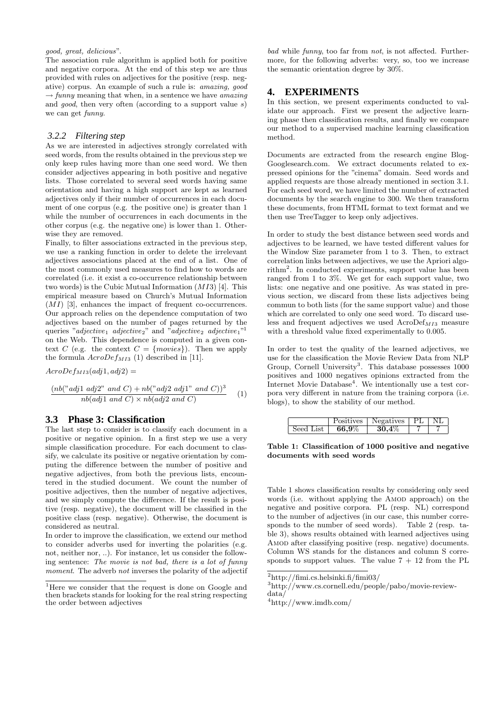#### good, great, delicious".

The association rule algorithm is applied both for positive and negative corpora. At the end of this step we are thus provided with rules on adjectives for the positive (resp. negative) corpus. An example of such a rule is: amazing, good  $\rightarrow$  funny meaning that when, in a sentence we have amazing and *good*, then very often (according to a support value  $s$ ) we can get funny.

#### *3.2.2 Filtering step*

As we are interested in adjectives strongly correlated with seed words, from the results obtained in the previous step we only keep rules having more than one seed word. We then consider adjectives appearing in both positive and negative lists. Those correlated to several seed words having same orientation and having a high support are kept as learned adjectives only if their number of occurrences in each document of one corpus (e.g. the positive one) is greater than 1 while the number of occurrences in each documents in the other corpus (e.g. the negative one) is lower than 1. Otherwise they are removed.

Finally, to filter associations extracted in the previous step, we use a ranking function in order to delete the irrelevant adjectives associations placed at the end of a list. One of the most commonly used measures to find how to words are correlated (i.e. it exist a co-occurrence relationship between two words) is the Cubic Mutual Information  $(MI3)$  [4]. This empirical measure based on Church's Mutual Information  $(MI)$  [3], enhances the impact of frequent co-occurrences. Our approach relies on the dependence computation of two adjectives based on the number of pages returned by the queries "adjective<sub>1</sub> adjective<sub>2</sub>" and "adjective<sub>2</sub> adjective<sub>1</sub>"<sup>1</sup> on the Web. This dependence is computed in a given context C (e.g. the context  $C = \{moves\}$ ). Then we apply the formula  $AcroDef_{M13}$  (1) described in [11].

 $AcroDef_{M13}(adj1,adj2) =$ 

$$
\frac{(nb("adj1 adj2" and C) + nb("adj2 adj1" and C))^3}{nb(adj1 and C) \times nb(adj2 and C)}
$$
 (1)

#### **3.3 Phase 3: Classification**

The last step to consider is to classify each document in a positive or negative opinion. In a first step we use a very simple classification procedure. For each document to classify, we calculate its positive or negative orientation by computing the difference between the number of positive and negative adjectives, from both the previous lists, encountered in the studied document. We count the number of positive adjectives, then the number of negative adjectives, and we simply compute the difference. If the result is positive (resp. negative), the document will be classified in the positive class (resp. negative). Otherwise, the document is considered as neutral.

In order to improve the classification, we extend our method to consider adverbs used for inverting the polarities (e.g. not, neither nor, ..). For instance, let us consider the following sentence: The movie is not bad, there is a lot of funny moment. The adverb not inverses the polarity of the adjectif bad while funny, too far from not, is not affected. Furthermore, for the following adverbs: very, so, too we increase the semantic orientation degree by 30%.

#### **4. EXPERIMENTS**

In this section, we present experiments conducted to validate our approach. First we present the adjective learning phase then classification results, and finally we compare our method to a supervised machine learning classification method.

Documents are extracted from the research engine Blog-Googlesearch.com. We extract documents related to expressed opinions for the "cinema" domain. Seed words and applied requests are those already mentioned in section 3.1. For each seed word, we have limited the number of extracted documents by the search engine to 300. We then transform these documents, from HTML format to text format and we then use TreeTagger to keep only adjectives.

In order to study the best distance between seed words and adjectives to be learned, we have tested different values for the Window Size parameter from 1 to 3. Then, to extract correlation links between adjectives, we use the Apriori algorithm<sup>2</sup> . In conducted experiments, support value has been ranged from 1 to 3%. We get for each support value, two lists: one negative and one positive. As was stated in previous section, we discard from these lists adjectives being commun to both lists (for the same support value) and those which are correlated to only one seed word. To discard useless and frequent adjectives we used  $AcroDef<sub>M13</sub>$  measure with a threshold value fixed experimentally to 0.005.

In order to test the quality of the learned adjectives, we use for the classification the Movie Review Data from NLP Group, Cornell University<sup>3</sup>. This database possesses 1000 positives and 1000 negatives opinions extracted from the Internet Movie Database<sup>4</sup>. We intentionally use a test corpora very different in nature from the training corpora (i.e. blogs), to show the stability of our method.

|           |               | Positives   Negatives   PL   NL |  |
|-----------|---------------|---------------------------------|--|
| Seed List | $\bm{66.9\%}$ | $30,4\%$                        |  |

Table 1: Classification of 1000 positive and negative documents with seed words

Table 1 shows classification results by considering only seed words (i.e. without applying the AMOD approach) on the negative and positive corpora. PL (resp. NL) correspond to the number of adjectives (in our case, this number corresponds to the number of seed words). Table 2 (resp. table 3), shows results obtained with learned adjectives using AMOD after classifying positive (resp. negative) documents. Column WS stands for the distances and column S corresponds to support values. The value  $7 + 12$  from the PL

<sup>&</sup>lt;sup>1</sup>Here we consider that the request is done on Google and then brackets stands for looking for the real string respecting the order between adjectives

 $\sqrt[2]{\text{http://fimi.cs.helsinki.fi/fimi03}}$ 

<sup>3</sup>http://www.cs.cornell.edu/people/pabo/movie-review-

data/

 $4$ http://www.imdb.com/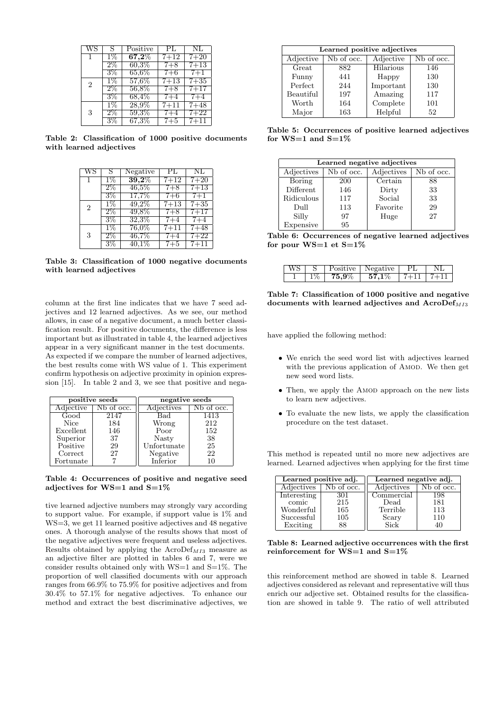|                | S     | Positive            | PL.      | NL       |
|----------------|-------|---------------------|----------|----------|
|                | $1\%$ | $\overline{67,2\%}$ | $7 + 12$ | $7 + 20$ |
|                | $2\%$ | $60.3\%$            | $7 + 8$  | $7 + 13$ |
|                | $3\%$ | $65.6\%$            | $7 + 6$  | $7 + 1$  |
| $\overline{2}$ | $1\%$ | $57,6\%$            | $7 + 13$ | $7 + 35$ |
|                | $2\%$ | $56.8\%$            | $7 + 8$  | $7 + 17$ |
|                | $3\%$ | 68,4%               | $7 + 4$  | $7 + 4$  |
|                | 1%    | $28,9\%$            | $7 + 11$ | $7 + 48$ |
| 3              | $2\%$ | $59.3\%$            | $7 + 4$  | $7 + 22$ |
|                | 3%    | $67.3\%$            | $7 + 5$  | $7 + 11$ |

Table 2: Classification of 1000 positive documents with learned adjectives

| WS             | S.    | Negative              | PL.      | NL       |
|----------------|-------|-----------------------|----------|----------|
|                | $1\%$ | $\overline{39{,}2\%}$ | $7 + 12$ | $7 + 20$ |
|                | $2\%$ | $46.5\%$              | $7 + 8$  | $7 + 13$ |
|                | $3\%$ | 17,7%                 | $7 + 6$  | $7+1$    |
| $\overline{2}$ | $1\%$ | $49.2\%$              | $7 + 13$ | $7 + 35$ |
|                | $2\%$ | $49.8\%$              | $7 + 8$  | $7 + 17$ |
|                | $3\%$ | $32,3\%$              | $7 + 4$  | $7 + 4$  |
|                | $1\%$ | $76,0\%$              | $7 + 11$ | $7 + 48$ |
| 3              | $2\%$ | $46,\!7\%$            | $7 + 4$  | $7 + 22$ |
|                | $3\%$ | $40.1\%$              | $7 + 5$  | $7 + 11$ |

Table 3: Classification of 1000 negative documents with learned adjectives

column at the first line indicates that we have 7 seed adjectives and 12 learned adjectives. As we see, our method allows, in case of a negative document, a much better classification result. For positive documents, the difference is less important but as illustrated in table 4, the learned adjectives appear in a very significant manner in the test documents. As expected if we compare the number of learned adjectives, the best results come with WS value of 1. This experiment confirm hypothesis on adjective proximity in opinion expression [15]. In table 2 and 3, we see that positive and nega-

|             | positive seeds |             | negative seeds |
|-------------|----------------|-------------|----------------|
| Adjective   | Nb of occ.     | Adjectives  | Nb of occ.     |
| Good        | 2147           | Bad         | 1413           |
| <b>Nice</b> | 184            | Wrong       | 212            |
| Excellent   | 146            | Poor        | 152            |
| Superior    | 37             | Nasty       | 38             |
| Positive    | 29             | Unfortunate | 25             |
| Correct     | 27             | Negative    | 22             |
| Fortunate   |                | Inferior    | 10             |

Table 4: Occurrences of positive and negative seed adjectives for  $WS=1$  and  $S=1\%$ 

tive learned adjective numbers may strongly vary according to support value. For example, if support value is 1% and WS=3, we get 11 learned positive adjectives and 48 negative ones. A thorough analyse of the results shows that most of the negative adjectives were frequent and useless adjectives. Results obtained by applying the  $AcroDef<sub>M13</sub>$  measure as an adjective filter are plotted in tables 6 and 7, were we consider results obtained only with WS=1 and S=1%. The proportion of well classified documents with our approach ranges from 66.9% to 75.9% for positive adjectives and from 30.4% to 57.1% for negative adjectives. To enhance our method and extract the best discriminative adjectives, we

| Learned positive adjectives |            |           |            |  |  |
|-----------------------------|------------|-----------|------------|--|--|
| Adjective                   | Nb of occ. | Adjective | Nb of occ. |  |  |
| Great                       | 882        | Hilarious | 146        |  |  |
| Funny                       | 441        | Happy     | 130        |  |  |
| Perfect                     | 244        | Important | 130        |  |  |
| Beautiful                   | 197        | Amazing   | 117        |  |  |
| Worth                       | 164        | Complete  | 101        |  |  |
| Major                       | 163        | Helpful   | 52         |  |  |

Table 5: Occurrences of positive learned adjectives for  $WS=1$  and  $S=1\%$ 

| Learned negative adjectives |            |            |            |  |  |
|-----------------------------|------------|------------|------------|--|--|
| Adjectives                  | Nb of occ. | Adjectives | Nb of occ. |  |  |
| Boring                      | <b>200</b> | Certain    | 88         |  |  |
| Different                   | 146        | Dirty      | 33         |  |  |
| Ridiculous                  | 117        | Social     | 33         |  |  |
| Dull                        | 113        | Favorite   | 29         |  |  |
| Silly                       | 97         | Huge       | 27         |  |  |
| Expensive                   | 95         |            |            |  |  |

Table 6: Occurrences of negative learned adjectives for pour  $WS=1$  et  $S=1\%$ 

|  |                   | Positive   Negative           |  |
|--|-------------------|-------------------------------|--|
|  | $\textbf{75.9}\%$ | $1\quad 57.1\% \quad 1.7 + 1$ |  |

Table 7: Classification of 1000 positive and negative documents with learned adjectives and  $AcroDef<sub>M13</sub>$ 

have applied the following method:

- We enrich the seed word list with adjectives learned with the previous application of AMOD. We then get new seed word lists.
- Then, we apply the AMOD approach on the new lists to learn new adjectives.
- To evaluate the new lists, we apply the classification procedure on the test dataset.

This method is repeated until no more new adjectives are learned. Learned adjectives when applying for the first time

| Learned positive adj. |            | Learned negative adj. |                        |  |
|-----------------------|------------|-----------------------|------------------------|--|
| Adjectives            | Nb of occ. | Adjectives            | N <sub>b</sub> of occ. |  |
| Interesting           | 301        | Commercial            | 198                    |  |
| comic                 | 215        | Dead                  | 181                    |  |
| Wonderful             | 165        | Terrible              | 113                    |  |
| Successful            | 105        | Scary                 | 110                    |  |
| Exciting              | 88         | Sick                  | 1Λ                     |  |

Table 8: Learned adjective occurrences with the first reinforcement for  $WS=1$  and  $S=1\%$ 

this reinforcement method are showed in table 8. Learned adjectives considered as relevant and representative will thus enrich our adjective set. Obtained results for the classification are showed in table 9. The ratio of well attributed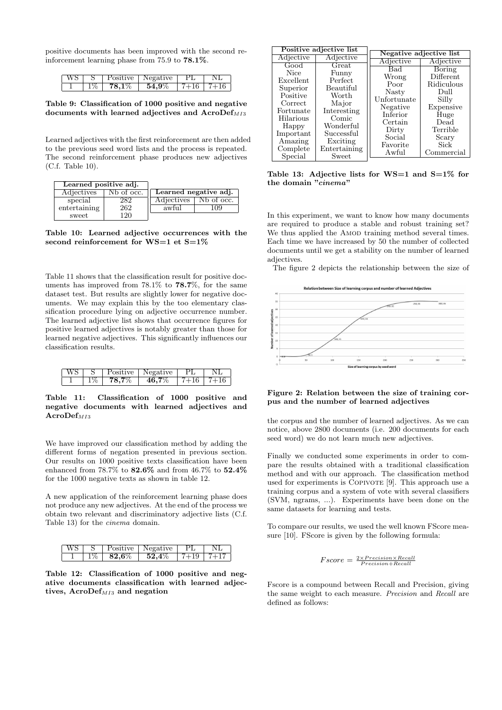positive documents has been improved with the second reinforcement learning phase from 75.9 to 78.1%.

| WS. |                       | Positive   Negative   PL |                 |  |
|-----|-----------------------|--------------------------|-----------------|--|
|     | $\boldsymbol{78.1\%}$ | $\boldsymbol{54.9\%}$    | $17+16$ $17+16$ |  |

Table 9: Classification of 1000 positive and negative documents with learned adjectives and  $AcroDef<sub>M13</sub>$ 

Learned adjectives with the first reinforcement are then added to the previous seed word lists and the process is repeated. The second reinforcement phase produces new adjectives (C.f. Table 10).

| Learned positive adj. |                        |                       |            |
|-----------------------|------------------------|-----------------------|------------|
| Adjectives            | N <sub>b</sub> of occ. | Learned negative adj. |            |
| special               | 282                    | Adjectives            | Nb of occ. |
| entertaining          | 262                    | awful                 | Uċ         |
| sweet                 | 120                    |                       |            |

Table 10: Learned adjective occurrences with the second reinforcement for  $WS=1$  et  $S=1\%$ 

Table 11 shows that the classification result for positive documents has improved from 78.1% to 78.7%, for the same dataset test. But results are slightly lower for negative documents. We may explain this by the too elementary classification procedure lying on adjective occurrence number. The learned adjective list shows that occurrence figures for positive learned adjectives is notably greater than those for learned negative adjectives. This significantly influences our classification results.

|  | Positive   Negative   |                 |  |
|--|-----------------------|-----------------|--|
|  | $78.7\%$   $46.7\%$ ' | 16 <sub>1</sub> |  |

Table 11: Classification of 1000 positive and negative documents with learned adjectives and  $Acrobef<sub>M13</sub>$ 

We have improved our classification method by adding the different forms of negation presented in previous section. Our results on 1000 positive texts classification have been enhanced from 78.7% to 82.6% and from 46.7% to 52.4% for the 1000 negative texts as shown in table 12.

A new application of the reinforcement learning phase does not produce any new adjectives. At the end of the process we obtain two relevant and discriminatory adjective lists (C.f. Table 13) for the cinema domain.

| IWS. |                   | Positive   Negative   PL |  |
|------|-------------------|--------------------------|--|
|      | $\textbf{82.6}\%$ | $1.52.4\%$               |  |

Table 12: Classification of 1000 positive and negative documents classification with learned adjectives,  $AcroDef<sub>M13</sub>$  and negation

| Positive adjective list |                        |              |                         |               |  |  |
|-------------------------|------------------------|--------------|-------------------------|---------------|--|--|
|                         | Adjective<br>Adjective |              | Negative adjective list |               |  |  |
|                         | Good                   | Great        | Adjective               | Adjective     |  |  |
|                         |                        |              | Bad                     | <b>Boring</b> |  |  |
|                         | <b>Nice</b>            | Funny        | Wrong                   | Different     |  |  |
|                         | Excellent              | Perfect      | Poor                    | Ridiculous    |  |  |
|                         | Superior               | Beautiful    |                         |               |  |  |
|                         | Positive               | Worth        | Nasty                   | Dull          |  |  |
|                         | Correct                | Major        | Unfortunate             | Silly         |  |  |
|                         | Fortunate              | Interesting  | Negative                | Expensive     |  |  |
|                         |                        | Comic        | Inferior                | Huge          |  |  |
|                         | Hilarious              |              | Certain                 | Dead          |  |  |
|                         | Happy                  | Wonderful    | Dirty                   | Terrible      |  |  |
|                         | Important              | Successful   | Social                  | Scary         |  |  |
|                         | Amazing                | Exciting     |                         |               |  |  |
|                         | Complete               | Entertaining | Favorite                | Sick          |  |  |
|                         | Special                | Sweet        | Awful                   | Commercial    |  |  |
|                         |                        |              |                         |               |  |  |

Table 13: Adjective lists for  $WS=1$  and  $S=1\%$  for the domain "*cinema*"

In this experiment, we want to know how many documents are required to produce a stable and robust training set? We thus applied the AMOD training method several times. Each time we have increased by 50 the number of collected documents until we get a stability on the number of learned adjectives.

The figure 2 depicts the relationship between the size of



Figure 2: Relation between the size of training corpus and the number of learned adjectives

the corpus and the number of learned adjectives. As we can notice, above 2800 documents (i.e. 200 documents for each seed word) we do not learn much new adjectives.

Finally we conducted some experiments in order to compare the results obtained with a traditional classification method and with our approach. The classification method used for experiments is COPIVOTE [9]. This approach use a training corpus and a system of vote with several classifiers (SVM, ngrams, ...). Experiments have been done on the same datasets for learning and tests.

To compare our results, we used the well known FScore measure [10]. FScore is given by the following formula:

$$
Fscore = \frac{2 \times Precision \times Recall}{Precision + Recall}
$$

Fscore is a compound between Recall and Precision, giving the same weight to each measure. Precision and Recall are defined as follows: